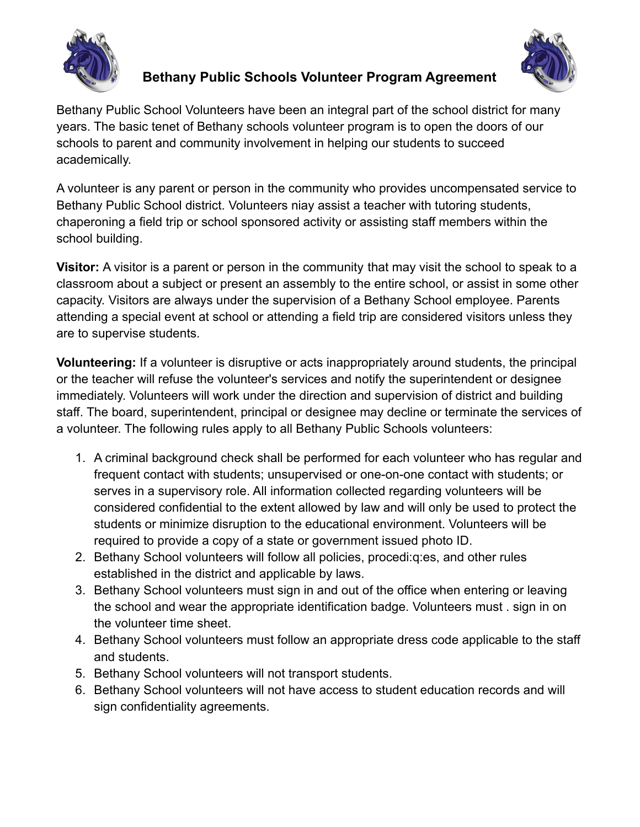



## **Bethany Public Schools Volunteer Program Agreement**

Bethany Public School Volunteers have been an integral part of the school district for many years. The basic tenet of Bethany schools volunteer program is to open the doors of our schools to parent and community involvement in helping our students to succeed academically.

A volunteer is any parent or person in the community who provides uncompensated service to Bethany Public School district. Volunteers niay assist a teacher with tutoring students, chaperoning a field trip or school sponsored activity or assisting staff members within the school building.

**Visitor:** A visitor is a parent or person in the community that may visit the school to speak to a classroom about a subject or present an assembly to the entire school, or assist in some other capacity. Visitors are always under the supervision of a Bethany School employee. Parents attending a special event at school or attending a field trip are considered visitors unless they are to supervise students.

**Volunteering:** If a volunteer is disruptive or acts inappropriately around students, the principal or the teacher will refuse the volunteer's services and notify the superintendent or designee immediately. Volunteers will work under the direction and supervision of district and building staff. The board, superintendent, principal or designee may decline or terminate the services of a volunteer. The following rules apply to all Bethany Public Schools volunteers:

- 1. A criminal background check shall be performed for each volunteer who has regular and frequent contact with students; unsupervised or one-on-one contact with students; or serves in a supervisory role. All information collected regarding volunteers will be considered confidential to the extent allowed by law and will only be used to protect the students or minimize disruption to the educational environment. Volunteers will be required to provide a copy of a state or government issued photo ID.
- 2. Bethany School volunteers will follow all policies, procedi:q:es, and other rules established in the district and applicable by laws.
- 3. Bethany School volunteers must sign in and out of the office when entering or leaving the school and wear the appropriate identification badge. Volunteers must . sign in on the volunteer time sheet.
- 4. Bethany School volunteers must follow an appropriate dress code applicable to the staff and students.
- 5. Bethany School volunteers will not transport students.
- 6. Bethany School volunteers will not have access to student education records and will sign confidentiality agreements.